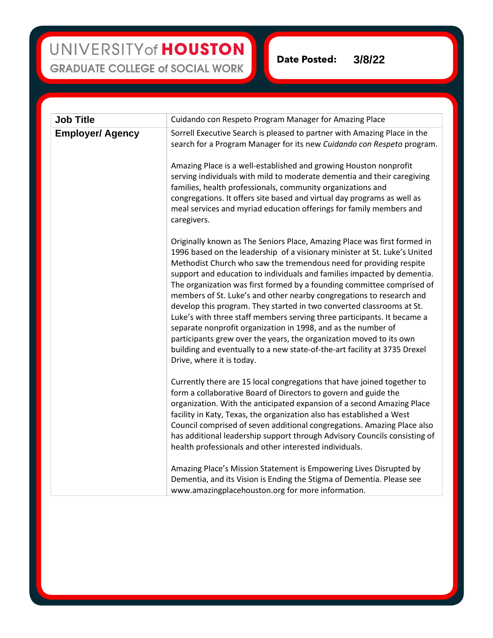### UNIVERSITY of HOUSTON **GRADUATE COLLEGE of SOCIAL WORK**

**Date Posted: 3/8/22**

| <b>Job Title</b>        | Cuidando con Respeto Program Manager for Amazing Place                                                                                                                                                                                                                                                                                                                                                                                                                                                                                                                                                                                                                                                                                                                                                                                                         |
|-------------------------|----------------------------------------------------------------------------------------------------------------------------------------------------------------------------------------------------------------------------------------------------------------------------------------------------------------------------------------------------------------------------------------------------------------------------------------------------------------------------------------------------------------------------------------------------------------------------------------------------------------------------------------------------------------------------------------------------------------------------------------------------------------------------------------------------------------------------------------------------------------|
| <b>Employer/ Agency</b> | Sorrell Executive Search is pleased to partner with Amazing Place in the<br>search for a Program Manager for its new Cuidando con Respeto program.                                                                                                                                                                                                                                                                                                                                                                                                                                                                                                                                                                                                                                                                                                             |
|                         | Amazing Place is a well-established and growing Houston nonprofit<br>serving individuals with mild to moderate dementia and their caregiving<br>families, health professionals, community organizations and<br>congregations. It offers site based and virtual day programs as well as<br>meal services and myriad education offerings for family members and<br>caregivers.                                                                                                                                                                                                                                                                                                                                                                                                                                                                                   |
|                         | Originally known as The Seniors Place, Amazing Place was first formed in<br>1996 based on the leadership of a visionary minister at St. Luke's United<br>Methodist Church who saw the tremendous need for providing respite<br>support and education to individuals and families impacted by dementia.<br>The organization was first formed by a founding committee comprised of<br>members of St. Luke's and other nearby congregations to research and<br>develop this program. They started in two converted classrooms at St.<br>Luke's with three staff members serving three participants. It became a<br>separate nonprofit organization in 1998, and as the number of<br>participants grew over the years, the organization moved to its own<br>building and eventually to a new state-of-the-art facility at 3735 Drexel<br>Drive, where it is today. |
|                         | Currently there are 15 local congregations that have joined together to<br>form a collaborative Board of Directors to govern and guide the<br>organization. With the anticipated expansion of a second Amazing Place<br>facility in Katy, Texas, the organization also has established a West<br>Council comprised of seven additional congregations. Amazing Place also<br>has additional leadership support through Advisory Councils consisting of<br>health professionals and other interested individuals.                                                                                                                                                                                                                                                                                                                                                |
|                         | Amazing Place's Mission Statement is Empowering Lives Disrupted by<br>Dementia, and its Vision is Ending the Stigma of Dementia. Please see<br>www.amazingplacehouston.org for more information.                                                                                                                                                                                                                                                                                                                                                                                                                                                                                                                                                                                                                                                               |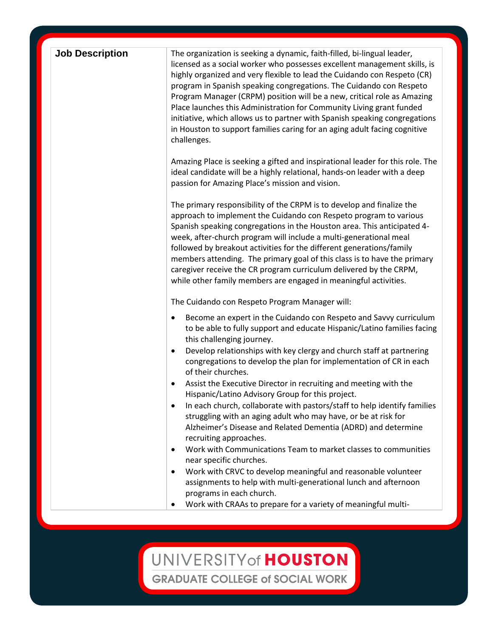| <b>Job Description</b> | The organization is seeking a dynamic, faith-filled, bi-lingual leader,<br>licensed as a social worker who possesses excellent management skills, is<br>highly organized and very flexible to lead the Cuidando con Respeto (CR)<br>program in Spanish speaking congregations. The Cuidando con Respeto<br>Program Manager (CRPM) position will be a new, critical role as Amazing<br>Place launches this Administration for Community Living grant funded<br>initiative, which allows us to partner with Spanish speaking congregations<br>in Houston to support families caring for an aging adult facing cognitive<br>challenges. |
|------------------------|--------------------------------------------------------------------------------------------------------------------------------------------------------------------------------------------------------------------------------------------------------------------------------------------------------------------------------------------------------------------------------------------------------------------------------------------------------------------------------------------------------------------------------------------------------------------------------------------------------------------------------------|
|                        | Amazing Place is seeking a gifted and inspirational leader for this role. The<br>ideal candidate will be a highly relational, hands-on leader with a deep<br>passion for Amazing Place's mission and vision.                                                                                                                                                                                                                                                                                                                                                                                                                         |
|                        | The primary responsibility of the CRPM is to develop and finalize the<br>approach to implement the Cuidando con Respeto program to various<br>Spanish speaking congregations in the Houston area. This anticipated 4-<br>week, after-church program will include a multi-generational meal<br>followed by breakout activities for the different generations/family<br>members attending. The primary goal of this class is to have the primary<br>caregiver receive the CR program curriculum delivered by the CRPM,<br>while other family members are engaged in meaningful activities.                                             |
|                        | The Cuidando con Respeto Program Manager will:                                                                                                                                                                                                                                                                                                                                                                                                                                                                                                                                                                                       |
|                        | Become an expert in the Cuidando con Respeto and Savvy curriculum<br>٠<br>to be able to fully support and educate Hispanic/Latino families facing<br>this challenging journey.<br>Develop relationships with key clergy and church staff at partnering<br>٠<br>congregations to develop the plan for implementation of CR in each<br>of their churches.<br>Assist the Executive Director in recruiting and meeting with the<br>٠                                                                                                                                                                                                     |
|                        | Hispanic/Latino Advisory Group for this project.<br>In each church, collaborate with pastors/staff to help identify families<br>٠<br>struggling with an aging adult who may have, or be at risk for<br>Alzheimer's Disease and Related Dementia (ADRD) and determine<br>recruiting approaches.                                                                                                                                                                                                                                                                                                                                       |
|                        | Work with Communications Team to market classes to communities<br>$\bullet$<br>near specific churches.<br>Work with CRVC to develop meaningful and reasonable volunteer<br>٠                                                                                                                                                                                                                                                                                                                                                                                                                                                         |
|                        | assignments to help with multi-generational lunch and afternoon<br>programs in each church.<br>Work with CRAAs to prepare for a variety of meaningful multi-<br>٠                                                                                                                                                                                                                                                                                                                                                                                                                                                                    |

## UNIVERSITY of HOUSTON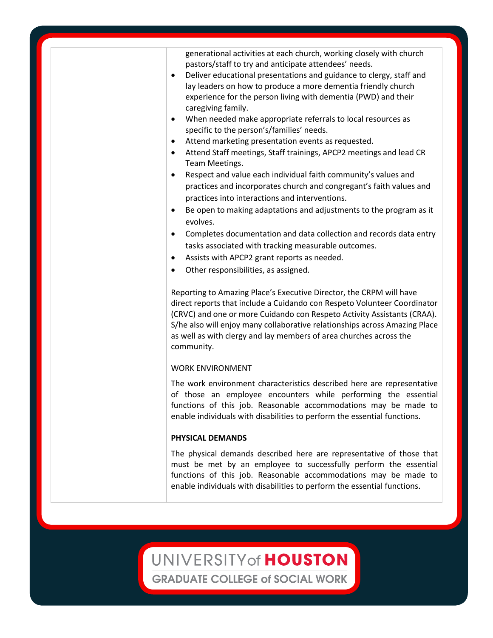generational activities at each church, working closely with church pastors/staff to try and anticipate attendees' needs.

- Deliver educational presentations and guidance to clergy, staff and lay leaders on how to produce a more dementia friendly church experience for the person living with dementia (PWD) and their caregiving family.
- When needed make appropriate referrals to local resources as specific to the person's/families' needs.
- Attend marketing presentation events as requested.
- Attend Staff meetings, Staff trainings, APCP2 meetings and lead CR Team Meetings.
- Respect and value each individual faith community's values and practices and incorporates church and congregant's faith values and practices into interactions and interventions.
- Be open to making adaptations and adjustments to the program as it evolves.
- Completes documentation and data collection and records data entry tasks associated with tracking measurable outcomes.
- Assists with APCP2 grant reports as needed.
- Other responsibilities, as assigned.

Reporting to Amazing Place's Executive Director, the CRPM will have direct reports that include a Cuidando con Respeto Volunteer Coordinator (CRVC) and one or more Cuidando con Respeto Activity Assistants (CRAA). S/he also will enjoy many collaborative relationships across Amazing Place as well as with clergy and lay members of area churches across the community.

#### WORK ENVIRONMENT

The work environment characteristics described here are representative of those an employee encounters while performing the essential functions of this job. Reasonable accommodations may be made to enable individuals with disabilities to perform the essential functions.

#### **PHYSICAL DEMANDS**

The physical demands described here are representative of those that must be met by an employee to successfully perform the essential functions of this job. Reasonable accommodations may be made to enable individuals with disabilities to perform the essential functions.

### UNIVERSITY of HOUSTON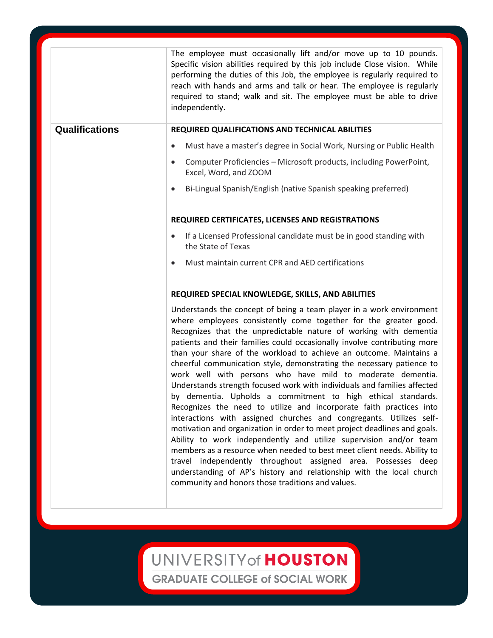|                       | The employee must occasionally lift and/or move up to 10 pounds.<br>Specific vision abilities required by this job include Close vision. While<br>performing the duties of this Job, the employee is regularly required to<br>reach with hands and arms and talk or hear. The employee is regularly<br>required to stand; walk and sit. The employee must be able to drive<br>independently.                                                                                                                                                                                                                                                                                                                                                                                                                                                                                                                                                                                                                                                                                                                                                                                                                                |
|-----------------------|-----------------------------------------------------------------------------------------------------------------------------------------------------------------------------------------------------------------------------------------------------------------------------------------------------------------------------------------------------------------------------------------------------------------------------------------------------------------------------------------------------------------------------------------------------------------------------------------------------------------------------------------------------------------------------------------------------------------------------------------------------------------------------------------------------------------------------------------------------------------------------------------------------------------------------------------------------------------------------------------------------------------------------------------------------------------------------------------------------------------------------------------------------------------------------------------------------------------------------|
| <b>Qualifications</b> | REQUIRED QUALIFICATIONS AND TECHNICAL ABILITIES                                                                                                                                                                                                                                                                                                                                                                                                                                                                                                                                                                                                                                                                                                                                                                                                                                                                                                                                                                                                                                                                                                                                                                             |
|                       | Must have a master's degree in Social Work, Nursing or Public Health<br>$\bullet$                                                                                                                                                                                                                                                                                                                                                                                                                                                                                                                                                                                                                                                                                                                                                                                                                                                                                                                                                                                                                                                                                                                                           |
|                       | Computer Proficiencies - Microsoft products, including PowerPoint,<br>$\bullet$<br>Excel, Word, and ZOOM                                                                                                                                                                                                                                                                                                                                                                                                                                                                                                                                                                                                                                                                                                                                                                                                                                                                                                                                                                                                                                                                                                                    |
|                       | Bi-Lingual Spanish/English (native Spanish speaking preferred)<br>$\bullet$                                                                                                                                                                                                                                                                                                                                                                                                                                                                                                                                                                                                                                                                                                                                                                                                                                                                                                                                                                                                                                                                                                                                                 |
|                       | REQUIRED CERTIFICATES, LICENSES AND REGISTRATIONS                                                                                                                                                                                                                                                                                                                                                                                                                                                                                                                                                                                                                                                                                                                                                                                                                                                                                                                                                                                                                                                                                                                                                                           |
|                       | If a Licensed Professional candidate must be in good standing with<br>$\bullet$<br>the State of Texas                                                                                                                                                                                                                                                                                                                                                                                                                                                                                                                                                                                                                                                                                                                                                                                                                                                                                                                                                                                                                                                                                                                       |
|                       | Must maintain current CPR and AED certifications                                                                                                                                                                                                                                                                                                                                                                                                                                                                                                                                                                                                                                                                                                                                                                                                                                                                                                                                                                                                                                                                                                                                                                            |
|                       | REQUIRED SPECIAL KNOWLEDGE, SKILLS, AND ABILITIES                                                                                                                                                                                                                                                                                                                                                                                                                                                                                                                                                                                                                                                                                                                                                                                                                                                                                                                                                                                                                                                                                                                                                                           |
|                       | Understands the concept of being a team player in a work environment<br>where employees consistently come together for the greater good.<br>Recognizes that the unpredictable nature of working with dementia<br>patients and their families could occasionally involve contributing more<br>than your share of the workload to achieve an outcome. Maintains a<br>cheerful communication style, demonstrating the necessary patience to<br>work well with persons who have mild to moderate dementia.<br>Understands strength focused work with individuals and families affected<br>by dementia. Upholds a commitment to high ethical standards.<br>Recognizes the need to utilize and incorporate faith practices into<br>interactions with assigned churches and congregants. Utilizes self-<br>motivation and organization in order to meet project deadlines and goals.<br>Ability to work independently and utilize supervision and/or team<br>members as a resource when needed to best meet client needs. Ability to<br>travel independently throughout assigned area. Possesses deep<br>understanding of AP's history and relationship with the local church<br>community and honors those traditions and values. |

# UNIVERSITY of HOUSTON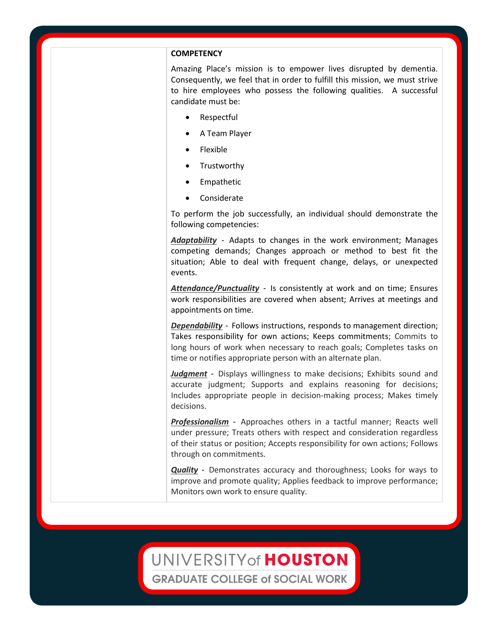#### **COMPETENCY**

Amazing Place's mission is to empower lives disrupted by dementia. Consequently, we feel that in order to fulfill this mission, we must strive to hire employees who possess the following qualities. A successful candidate must be:

- Respectful
- A Team Player
- Flexible
- **Trustworthy**
- **Empathetic**
- **Considerate**

To perform the job successfully, an individual should demonstrate the following competencies:

*Adaptability* - Adapts to changes in the work environment; Manages competing demands; Changes approach or method to best fit the situation; Able to deal with frequent change, delays, or unexpected events.

*Attendance/Punctuality* - Is consistently at work and on time; Ensures work responsibilities are covered when absent; Arrives at meetings and appointments on time.

*Dependability* - Follows instructions, responds to management direction; Takes responsibility for own actions; Keeps commitments; Commits to long hours of work when necessary to reach goals; Completes tasks on time or notifies appropriate person with an alternate plan.

*Judgment* - Displays willingness to make decisions; Exhibits sound and accurate judgment; Supports and explains reasoning for decisions; Includes appropriate people in decision-making process; Makes timely decisions.

*Professionalism* - Approaches others in a tactful manner; Reacts well under pressure; Treats others with respect and consideration regardless of their status or position; Accepts responsibility for own actions; Follows through on commitments.

*Quality* - Demonstrates accuracy and thoroughness; Looks for ways to improve and promote quality; Applies feedback to improve performance; Monitors own work to ensure quality.

### UNIVERSITY of HOUSTON